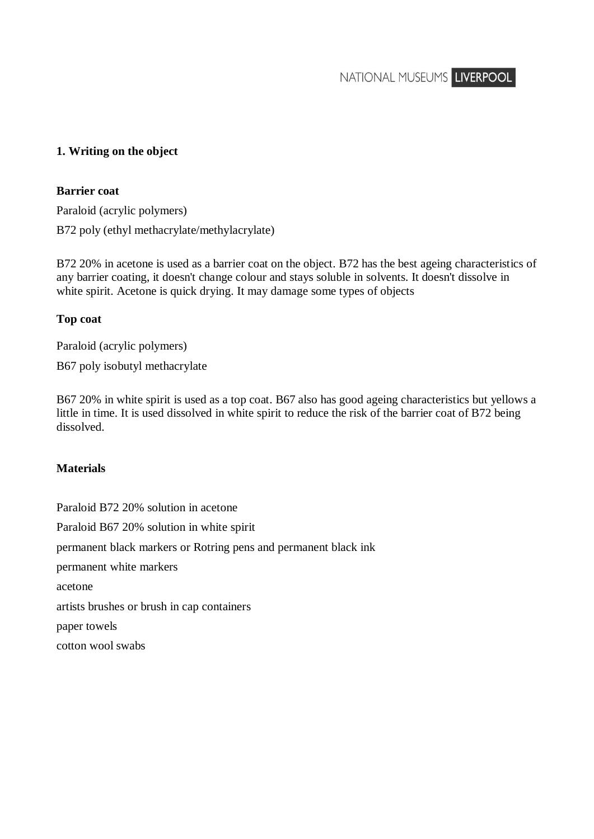NATIONAL MUSEUMS LIVERPOOL

# **1. Writing on the object**

### **Barrier coat**

Paraloid (acrylic polymers) B72 poly (ethyl methacrylate/methylacrylate)

B72 20% in acetone is used as a barrier coat on the object. B72 has the best ageing characteristics of any barrier coating, it doesn't change colour and stays soluble in solvents. It doesn't dissolve in white spirit. Acetone is quick drying. It may damage some types of objects

### **Top coat**

Paraloid (acrylic polymers)

B67 poly isobutyl methacrylate

B67 20% in white spirit is used as a top coat. B67 also has good ageing characteristics but yellows a little in time. It is used dissolved in white spirit to reduce the risk of the barrier coat of B72 being dissolved.

### **Materials**

Paraloid B72 20% solution in acetone Paraloid B67 20% solution in white spirit permanent black markers or Rotring pens and permanent black ink permanent white markers acetone artists brushes or brush in cap containers paper towels cotton wool swabs